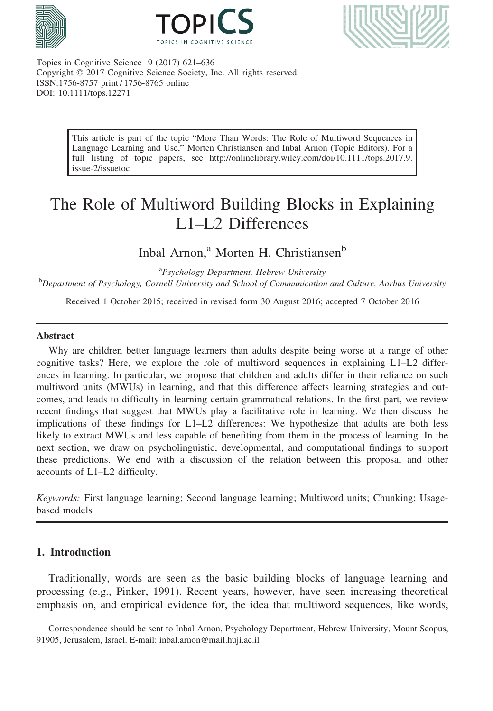





Topics in Cognitive Science 9 (2017) 621–636 Copyright © 2017 Cognitive Science Society, Inc. All rights reserved. ISSN:1756-8757 print / 1756-8765 online DOI: 10.1111/tops.12271

> This article is part of the topic "More Than Words: The Role of Multiword Sequences in Language Learning and Use," Morten Christiansen and Inbal Arnon (Topic Editors). For a full listing of topic papers, see [http://onlinelibrary.wiley.com/doi/10.1111/tops.2017.9.](http://onlinelibrary.wiley.com/doi/10.1111/tops.2017.9.issue-2/issuetoc) [issue-2/issuetoc](http://onlinelibrary.wiley.com/doi/10.1111/tops.2017.9.issue-2/issuetoc)

# The Role of Multiword Building Blocks in Explaining L1–L2 Differences

Inbal Arnon,<sup>a</sup> Morten H. Christiansen<sup>b</sup>

<sup>a</sup>Psychology Department, Hebrew University

<sup>a</sup>Psychology Department, Hebrew University<br><sup>b</sup>Department of Psychology, Cornell University and School of Communication and Culture, Aarhus University

Received 1 October 2015; received in revised form 30 August 2016; accepted 7 October 2016

### Abstract

Why are children better language learners than adults despite being worse at a range of other cognitive tasks? Here, we explore the role of multiword sequences in explaining L1–L2 differences in learning. In particular, we propose that children and adults differ in their reliance on such multiword units (MWUs) in learning, and that this difference affects learning strategies and outcomes, and leads to difficulty in learning certain grammatical relations. In the first part, we review recent findings that suggest that MWUs play a facilitative role in learning. We then discuss the implications of these findings for L1–L2 differences: We hypothesize that adults are both less likely to extract MWUs and less capable of benefiting from them in the process of learning. In the next section, we draw on psycholinguistic, developmental, and computational findings to support these predictions. We end with a discussion of the relation between this proposal and other accounts of L1–L2 difficulty.

Keywords: First language learning; Second language learning; Multiword units; Chunking; Usagebased models

# 1. Introduction

Traditionally, words are seen as the basic building blocks of language learning and processing (e.g., Pinker, 1991). Recent years, however, have seen increasing theoretical emphasis on, and empirical evidence for, the idea that multiword sequences, like words,

Correspondence should be sent to Inbal Arnon, Psychology Department, Hebrew University, Mount Scopus, 91905, Jerusalem, Israel. E-mail: inbal.arnon@mail.huji.ac.il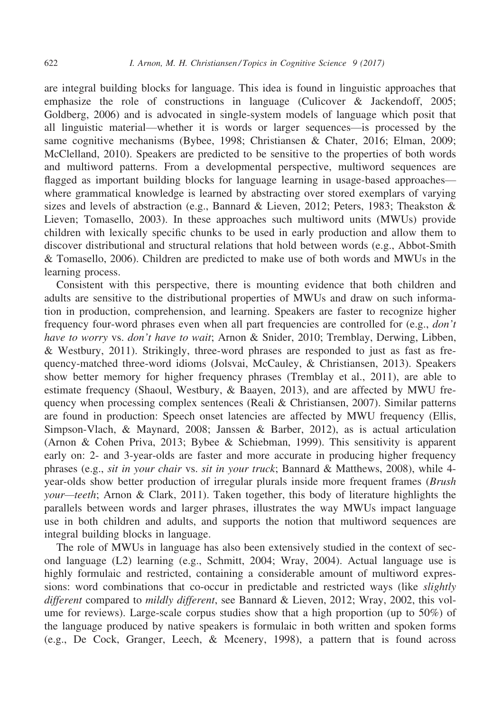are integral building blocks for language. This idea is found in linguistic approaches that emphasize the role of constructions in language (Culicover & Jackendoff, 2005; Goldberg, 2006) and is advocated in single-system models of language which posit that all linguistic material—whether it is words or larger sequences—is processed by the same cognitive mechanisms (Bybee, 1998; Christiansen & Chater, 2016; Elman, 2009; McClelland, 2010). Speakers are predicted to be sensitive to the properties of both words and multiword patterns. From a developmental perspective, multiword sequences are flagged as important building blocks for language learning in usage-based approaches where grammatical knowledge is learned by abstracting over stored exemplars of varying sizes and levels of abstraction (e.g., Bannard & Lieven, 2012; Peters, 1983; Theakston & Lieven; Tomasello, 2003). In these approaches such multiword units (MWUs) provide children with lexically specific chunks to be used in early production and allow them to discover distributional and structural relations that hold between words (e.g., Abbot-Smith & Tomasello, 2006). Children are predicted to make use of both words and MWUs in the learning process.

Consistent with this perspective, there is mounting evidence that both children and adults are sensitive to the distributional properties of MWUs and draw on such information in production, comprehension, and learning. Speakers are faster to recognize higher frequency four-word phrases even when all part frequencies are controlled for (e.g., don't have to worry vs. don't have to wait; Arnon & Snider, 2010; Tremblay, Derwing, Libben, & Westbury, 2011). Strikingly, three-word phrases are responded to just as fast as frequency-matched three-word idioms (Jolsvai, McCauley, & Christiansen, 2013). Speakers show better memory for higher frequency phrases (Tremblay et al., 2011), are able to estimate frequency (Shaoul, Westbury, & Baayen, 2013), and are affected by MWU frequency when processing complex sentences (Reali & Christiansen, 2007). Similar patterns are found in production: Speech onset latencies are affected by MWU frequency (Ellis, Simpson-Vlach, & Maynard, 2008; Janssen & Barber, 2012), as is actual articulation (Arnon & Cohen Priva, 2013; Bybee & Schiebman, 1999). This sensitivity is apparent early on: 2- and 3-year-olds are faster and more accurate in producing higher frequency phrases (e.g., sit in your chair vs. sit in your truck; Bannard & Matthews, 2008), while 4 year-olds show better production of irregular plurals inside more frequent frames (Brush your—teeth; Arnon & Clark, 2011). Taken together, this body of literature highlights the parallels between words and larger phrases, illustrates the way MWUs impact language use in both children and adults, and supports the notion that multiword sequences are integral building blocks in language.

The role of MWUs in language has also been extensively studied in the context of second language (L2) learning (e.g., Schmitt, 2004; Wray, 2004). Actual language use is highly formulaic and restricted, containing a considerable amount of multiword expressions: word combinations that co-occur in predictable and restricted ways (like *slightly* different compared to mildly different, see Bannard & Lieven, 2012; Wray, 2002, this volume for reviews). Large-scale corpus studies show that a high proportion (up to 50%) of the language produced by native speakers is formulaic in both written and spoken forms (e.g., De Cock, Granger, Leech, & Mcenery, 1998), a pattern that is found across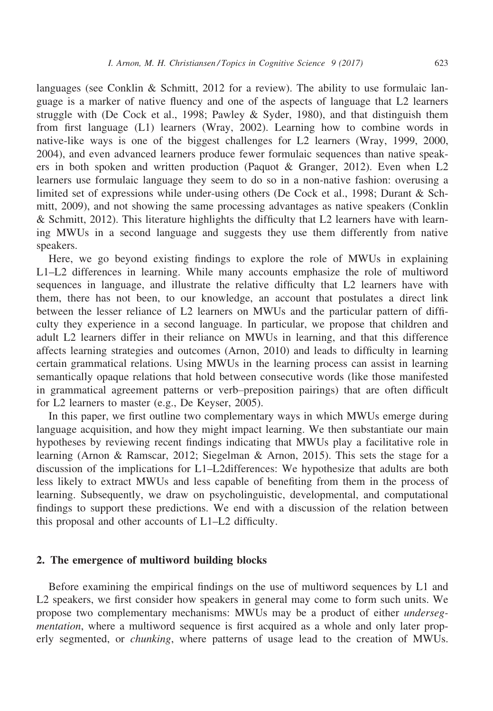languages (see Conklin & Schmitt, 2012 for a review). The ability to use formulaic language is a marker of native fluency and one of the aspects of language that L2 learners struggle with (De Cock et al., 1998; Pawley & Syder, 1980), and that distinguish them from first language (L1) learners (Wray, 2002). Learning how to combine words in native-like ways is one of the biggest challenges for L2 learners (Wray, 1999, 2000, 2004), and even advanced learners produce fewer formulaic sequences than native speakers in both spoken and written production (Paquot & Granger, 2012). Even when L2 learners use formulaic language they seem to do so in a non-native fashion: overusing a limited set of expressions while under-using others (De Cock et al., 1998; Durant & Schmitt, 2009), and not showing the same processing advantages as native speakers (Conklin & Schmitt, 2012). This literature highlights the difficulty that L2 learners have with learning MWUs in a second language and suggests they use them differently from native speakers.

Here, we go beyond existing findings to explore the role of MWUs in explaining L1–L2 differences in learning. While many accounts emphasize the role of multiword sequences in language, and illustrate the relative difficulty that L2 learners have with them, there has not been, to our knowledge, an account that postulates a direct link between the lesser reliance of L2 learners on MWUs and the particular pattern of difficulty they experience in a second language. In particular, we propose that children and adult L2 learners differ in their reliance on MWUs in learning, and that this difference affects learning strategies and outcomes (Arnon, 2010) and leads to difficulty in learning certain grammatical relations. Using MWUs in the learning process can assist in learning semantically opaque relations that hold between consecutive words (like those manifested in grammatical agreement patterns or verb–preposition pairings) that are often difficult for L2 learners to master (e.g., De Keyser, 2005).

In this paper, we first outline two complementary ways in which MWUs emerge during language acquisition, and how they might impact learning. We then substantiate our main hypotheses by reviewing recent findings indicating that MWUs play a facilitative role in learning (Arnon & Ramscar, 2012; Siegelman & Arnon, 2015). This sets the stage for a discussion of the implications for L1–L2differences: We hypothesize that adults are both less likely to extract MWUs and less capable of benefiting from them in the process of learning. Subsequently, we draw on psycholinguistic, developmental, and computational findings to support these predictions. We end with a discussion of the relation between this proposal and other accounts of L1–L2 difficulty.

## 2. The emergence of multiword building blocks

Before examining the empirical findings on the use of multiword sequences by L1 and L2 speakers, we first consider how speakers in general may come to form such units. We propose two complementary mechanisms: MWUs may be a product of either undersegmentation, where a multiword sequence is first acquired as a whole and only later properly segmented, or chunking, where patterns of usage lead to the creation of MWUs.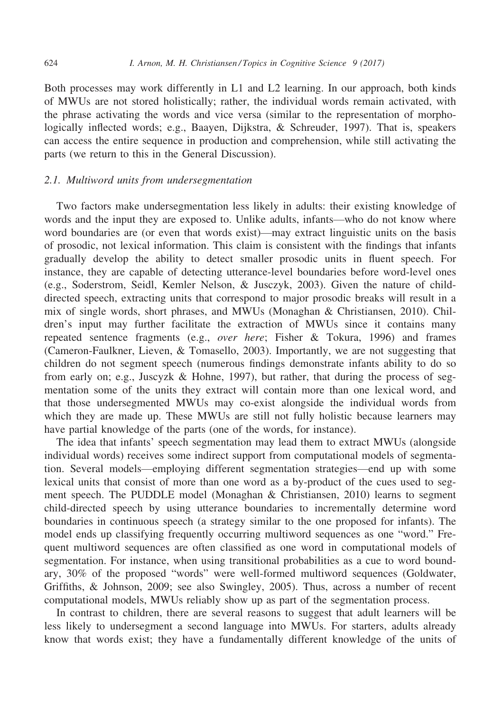Both processes may work differently in L1 and L2 learning. In our approach, both kinds of MWUs are not stored holistically; rather, the individual words remain activated, with the phrase activating the words and vice versa (similar to the representation of morphologically inflected words; e.g., Baayen, Dijkstra, & Schreuder, 1997). That is, speakers can access the entire sequence in production and comprehension, while still activating the parts (we return to this in the General Discussion).

#### 2.1. Multiword units from undersegmentation

Two factors make undersegmentation less likely in adults: their existing knowledge of words and the input they are exposed to. Unlike adults, infants—who do not know where word boundaries are (or even that words exist)—may extract linguistic units on the basis of prosodic, not lexical information. This claim is consistent with the findings that infants gradually develop the ability to detect smaller prosodic units in fluent speech. For instance, they are capable of detecting utterance-level boundaries before word-level ones (e.g., Soderstrom, Seidl, Kemler Nelson, & Jusczyk, 2003). Given the nature of childdirected speech, extracting units that correspond to major prosodic breaks will result in a mix of single words, short phrases, and MWUs (Monaghan & Christiansen, 2010). Children's input may further facilitate the extraction of MWUs since it contains many repeated sentence fragments (e.g., over here; Fisher & Tokura, 1996) and frames (Cameron-Faulkner, Lieven, & Tomasello, 2003). Importantly, we are not suggesting that children do not segment speech (numerous findings demonstrate infants ability to do so from early on; e.g., Juscyzk & Hohne, 1997), but rather, that during the process of segmentation some of the units they extract will contain more than one lexical word, and that those undersegmented MWUs may co-exist alongside the individual words from which they are made up. These MWUs are still not fully holistic because learners may have partial knowledge of the parts (one of the words, for instance).

The idea that infants' speech segmentation may lead them to extract MWUs (alongside individual words) receives some indirect support from computational models of segmentation. Several models—employing different segmentation strategies—end up with some lexical units that consist of more than one word as a by-product of the cues used to segment speech. The PUDDLE model (Monaghan & Christiansen, 2010) learns to segment child-directed speech by using utterance boundaries to incrementally determine word boundaries in continuous speech (a strategy similar to the one proposed for infants). The model ends up classifying frequently occurring multiword sequences as one "word." Frequent multiword sequences are often classified as one word in computational models of segmentation. For instance, when using transitional probabilities as a cue to word boundary, 30% of the proposed "words" were well-formed multiword sequences (Goldwater, Griffiths, & Johnson, 2009; see also Swingley, 2005). Thus, across a number of recent computational models, MWUs reliably show up as part of the segmentation process.

In contrast to children, there are several reasons to suggest that adult learners will be less likely to undersegment a second language into MWUs. For starters, adults already know that words exist; they have a fundamentally different knowledge of the units of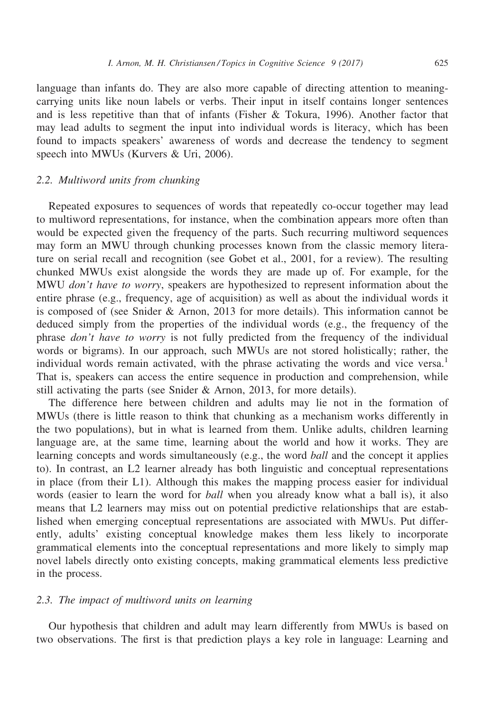language than infants do. They are also more capable of directing attention to meaningcarrying units like noun labels or verbs. Their input in itself contains longer sentences and is less repetitive than that of infants (Fisher & Tokura, 1996). Another factor that may lead adults to segment the input into individual words is literacy, which has been found to impacts speakers' awareness of words and decrease the tendency to segment speech into MWUs (Kurvers & Uri, 2006).

## 2.2. Multiword units from chunking

Repeated exposures to sequences of words that repeatedly co-occur together may lead to multiword representations, for instance, when the combination appears more often than would be expected given the frequency of the parts. Such recurring multiword sequences may form an MWU through chunking processes known from the classic memory literature on serial recall and recognition (see Gobet et al., 2001, for a review). The resulting chunked MWUs exist alongside the words they are made up of. For example, for the MWU don't have to worry, speakers are hypothesized to represent information about the entire phrase (e.g., frequency, age of acquisition) as well as about the individual words it is composed of (see Snider & Arnon, 2013 for more details). This information cannot be deduced simply from the properties of the individual words (e.g., the frequency of the phrase don't have to worry is not fully predicted from the frequency of the individual words or bigrams). In our approach, such MWUs are not stored holistically; rather, the individual words remain activated, with the phrase activating the words and vice versa.<sup>1</sup> That is, speakers can access the entire sequence in production and comprehension, while still activating the parts (see Snider & Arnon, 2013, for more details).

The difference here between children and adults may lie not in the formation of MWUs (there is little reason to think that chunking as a mechanism works differently in the two populations), but in what is learned from them. Unlike adults, children learning language are, at the same time, learning about the world and how it works. They are learning concepts and words simultaneously (e.g., the word ball and the concept it applies to). In contrast, an L2 learner already has both linguistic and conceptual representations in place (from their L1). Although this makes the mapping process easier for individual words (easier to learn the word for *ball* when you already know what a ball is), it also means that L2 learners may miss out on potential predictive relationships that are established when emerging conceptual representations are associated with MWUs. Put differently, adults' existing conceptual knowledge makes them less likely to incorporate grammatical elements into the conceptual representations and more likely to simply map novel labels directly onto existing concepts, making grammatical elements less predictive in the process.

# 2.3. The impact of multiword units on learning

Our hypothesis that children and adult may learn differently from MWUs is based on two observations. The first is that prediction plays a key role in language: Learning and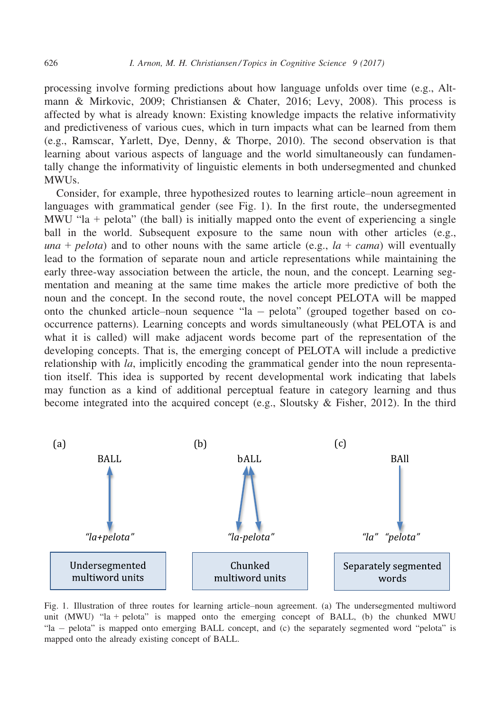processing involve forming predictions about how language unfolds over time (e.g., Altmann & Mirkovic, 2009; Christiansen & Chater, 2016; Levy, 2008). This process is affected by what is already known: Existing knowledge impacts the relative informativity and predictiveness of various cues, which in turn impacts what can be learned from them (e.g., Ramscar, Yarlett, Dye, Denny, & Thorpe, 2010). The second observation is that learning about various aspects of language and the world simultaneously can fundamentally change the informativity of linguistic elements in both undersegmented and chunked MWUs.

Consider, for example, three hypothesized routes to learning article–noun agreement in languages with grammatical gender (see Fig. 1). In the first route, the undersegmented MWU "la  $+$  pelota" (the ball) is initially mapped onto the event of experiencing a single ball in the world. Subsequent exposure to the same noun with other articles (e.g., una + pelota) and to other nouns with the same article (e.g.,  $la + cama$ ) will eventually lead to the formation of separate noun and article representations while maintaining the early three-way association between the article, the noun, and the concept. Learning segmentation and meaning at the same time makes the article more predictive of both the noun and the concept. In the second route, the novel concept PELOTA will be mapped onto the chunked article–noun sequence "la  $-$  pelota" (grouped together based on cooccurrence patterns). Learning concepts and words simultaneously (what PELOTA is and what it is called) will make adjacent words become part of the representation of the developing concepts. That is, the emerging concept of PELOTA will include a predictive relationship with  $la$ , implicitly encoding the grammatical gender into the noun representation itself. This idea is supported by recent developmental work indicating that labels may function as a kind of additional perceptual feature in category learning and thus become integrated into the acquired concept (e.g., Sloutsky  $\&$  Fisher, 2012). In the third



Fig. 1. Illustration of three routes for learning article–noun agreement. (a) The undersegmented multiword unit (MWU) "la + pelota" is mapped onto the emerging concept of BALL, (b) the chunked MWU "la – pelota" is mapped onto emerging BALL concept, and (c) the separately segmented word "pelota" is mapped onto the already existing concept of BALL.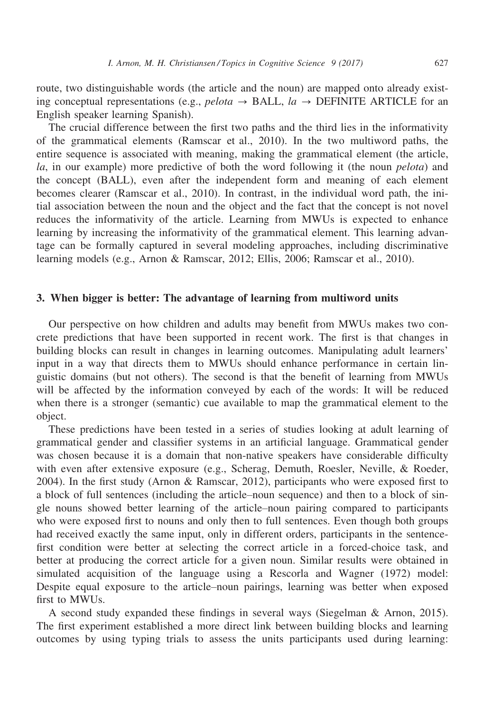route, two distinguishable words (the article and the noun) are mapped onto already existing conceptual representations (e.g., *pelota*  $\rightarrow$  BALL,  $la \rightarrow$  DEFINITE ARTICLE for an English speaker learning Spanish).

The crucial difference between the first two paths and the third lies in the informativity of the grammatical elements (Ramscar et al., 2010). In the two multiword paths, the entire sequence is associated with meaning, making the grammatical element (the article, la, in our example) more predictive of both the word following it (the noun *pelota*) and the concept (BALL), even after the independent form and meaning of each element becomes clearer (Ramscar et al., 2010). In contrast, in the individual word path, the initial association between the noun and the object and the fact that the concept is not novel reduces the informativity of the article. Learning from MWUs is expected to enhance learning by increasing the informativity of the grammatical element. This learning advantage can be formally captured in several modeling approaches, including discriminative learning models (e.g., Arnon & Ramscar, 2012; Ellis, 2006; Ramscar et al., 2010).

## 3. When bigger is better: The advantage of learning from multiword units

Our perspective on how children and adults may benefit from MWUs makes two concrete predictions that have been supported in recent work. The first is that changes in building blocks can result in changes in learning outcomes. Manipulating adult learners' input in a way that directs them to MWUs should enhance performance in certain linguistic domains (but not others). The second is that the benefit of learning from MWUs will be affected by the information conveyed by each of the words: It will be reduced when there is a stronger (semantic) cue available to map the grammatical element to the object.

These predictions have been tested in a series of studies looking at adult learning of grammatical gender and classifier systems in an artificial language. Grammatical gender was chosen because it is a domain that non-native speakers have considerable difficulty with even after extensive exposure (e.g., Scherag, Demuth, Roesler, Neville, & Roeder, 2004). In the first study (Arnon & Ramscar, 2012), participants who were exposed first to a block of full sentences (including the article–noun sequence) and then to a block of single nouns showed better learning of the article–noun pairing compared to participants who were exposed first to nouns and only then to full sentences. Even though both groups had received exactly the same input, only in different orders, participants in the sentencefirst condition were better at selecting the correct article in a forced-choice task, and better at producing the correct article for a given noun. Similar results were obtained in simulated acquisition of the language using a Rescorla and Wagner (1972) model: Despite equal exposure to the article–noun pairings, learning was better when exposed first to MWUs.

A second study expanded these findings in several ways (Siegelman & Arnon, 2015). The first experiment established a more direct link between building blocks and learning outcomes by using typing trials to assess the units participants used during learning: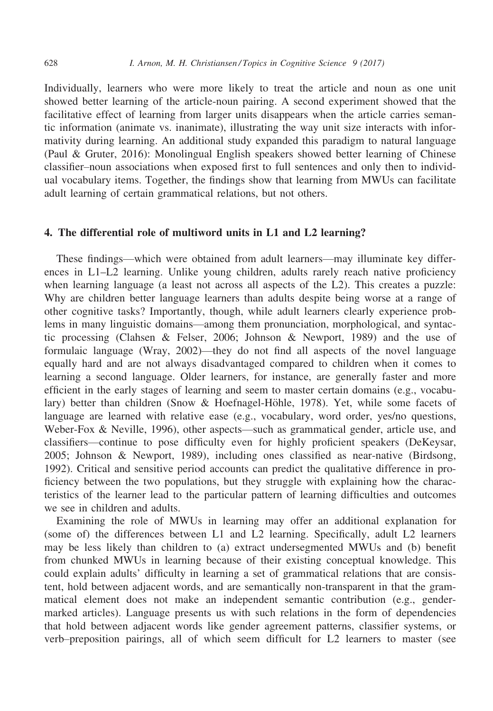Individually, learners who were more likely to treat the article and noun as one unit showed better learning of the article-noun pairing. A second experiment showed that the facilitative effect of learning from larger units disappears when the article carries semantic information (animate vs. inanimate), illustrating the way unit size interacts with informativity during learning. An additional study expanded this paradigm to natural language (Paul & Gruter, 2016): Monolingual English speakers showed better learning of Chinese classifier–noun associations when exposed first to full sentences and only then to individual vocabulary items. Together, the findings show that learning from MWUs can facilitate adult learning of certain grammatical relations, but not others.

#### 4. The differential role of multiword units in L1 and L2 learning?

These findings—which were obtained from adult learners—may illuminate key differences in L1–L2 learning. Unlike young children, adults rarely reach native proficiency when learning language (a least not across all aspects of the L2). This creates a puzzle: Why are children better language learners than adults despite being worse at a range of other cognitive tasks? Importantly, though, while adult learners clearly experience problems in many linguistic domains—among them pronunciation, morphological, and syntactic processing (Clahsen & Felser, 2006; Johnson & Newport, 1989) and the use of formulaic language (Wray, 2002)—they do not find all aspects of the novel language equally hard and are not always disadvantaged compared to children when it comes to learning a second language. Older learners, for instance, are generally faster and more efficient in the early stages of learning and seem to master certain domains (e.g., vocabulary) better than children (Snow & Hoefnagel-Höhle, 1978). Yet, while some facets of language are learned with relative ease (e.g., vocabulary, word order, yes/no questions, Weber-Fox & Neville, 1996), other aspects—such as grammatical gender, article use, and classifiers—continue to pose difficulty even for highly proficient speakers (DeKeysar, 2005; Johnson & Newport, 1989), including ones classified as near-native (Birdsong, 1992). Critical and sensitive period accounts can predict the qualitative difference in proficiency between the two populations, but they struggle with explaining how the characteristics of the learner lead to the particular pattern of learning difficulties and outcomes we see in children and adults.

Examining the role of MWUs in learning may offer an additional explanation for (some of) the differences between L1 and L2 learning. Specifically, adult L2 learners may be less likely than children to (a) extract undersegmented MWUs and (b) benefit from chunked MWUs in learning because of their existing conceptual knowledge. This could explain adults' difficulty in learning a set of grammatical relations that are consistent, hold between adjacent words, and are semantically non-transparent in that the grammatical element does not make an independent semantic contribution (e.g., gendermarked articles). Language presents us with such relations in the form of dependencies that hold between adjacent words like gender agreement patterns, classifier systems, or verb–preposition pairings, all of which seem difficult for L2 learners to master (see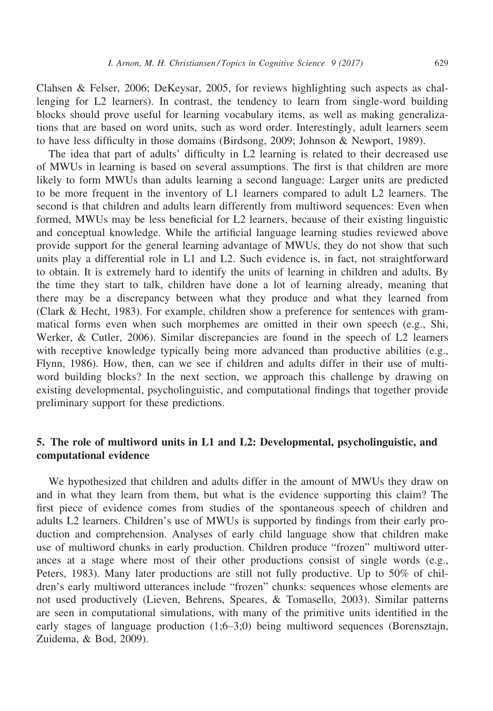Clahsen & Felser, 2006; DeKeysar, 2005, for reviews highlighting such aspects as challenging for L2 learners). In contrast, the tendency to learn from single-word building blocks should prove useful for learning vocabulary items, as well as making generalizations that are based on word units, such as word order. Interestingly, adult learners seem to have less difficulty in those domains (Birdsong, 2009; Johnson & Newport, 1989).

The idea that part of adults' difficulty in L2 learning is related to their decreased use of MWUs in learning is based on several assumptions. The first is that children are more likely to form MWUs than adults learning a second language: Larger units are predicted to be more frequent in the inventory of L1 learners compared to adult L2 learners. The second is that children and adults learn differently from multiword sequences: Even when formed, MWUs may be less beneficial for L2 learners, because of their existing linguistic and conceptual knowledge. While the artificial language learning studies reviewed above provide support for the general learning advantage of MWUs, they do not show that such units play a differential role in L1 and L2. Such evidence is, in fact, not straightforward to obtain. It is extremely hard to identify the units of learning in children and adults. By the time they start to talk, children have done a lot of learning already, meaning that there may be a discrepancy between what they produce and what they learned from (Clark & Hecht, 1983). For example, children show a preference for sentences with grammatical forms even when such morphemes are omitted in their own speech (e.g., Shi, Werker, & Cutler, 2006). Similar discrepancies are found in the speech of L2 learners with receptive knowledge typically being more advanced than productive abilities (e.g., Flynn, 1986). How, then, can we see if children and adults differ in their use of multiword building blocks? In the next section, we approach this challenge by drawing on existing developmental, psycholinguistic, and computational findings that together provide preliminary support for these predictions.

# 5. The role of multiword units in L1 and L2: Developmental, psycholinguistic, and computational evidence

We hypothesized that children and adults differ in the amount of MWUs they draw on and in what they learn from them, but what is the evidence supporting this claim? The first piece of evidence comes from studies of the spontaneous speech of children and adults L2 learners. Children's use of MWUs is supported by findings from their early production and comprehension. Analyses of early child language show that children make use of multiword chunks in early production. Children produce "frozen" multiword utterances at a stage where most of their other productions consist of single words (e.g., Peters, 1983). Many later productions are still not fully productive. Up to 50% of children's early multiword utterances include "frozen" chunks: sequences whose elements are not used productively (Lieven, Behrens, Speares, & Tomasello, 2003). Similar patterns are seen in computational simulations, with many of the primitive units identified in the early stages of language production  $(1;6-3;0)$  being multiword sequences (Borensztajn, Zuidema, & Bod, 2009).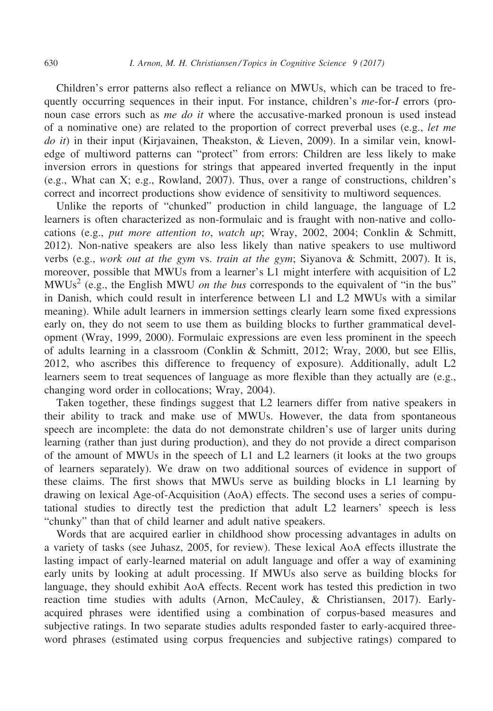Children's error patterns also reflect a reliance on MWUs, which can be traced to frequently occurring sequences in their input. For instance, children's me-for-I errors (pronoun case errors such as *me do it* where the accusative-marked pronoun is used instead of a nominative one) are related to the proportion of correct preverbal uses (e.g., *let me* do it) in their input (Kirjavainen, Theakston, & Lieven, 2009). In a similar vein, knowledge of multiword patterns can "protect" from errors: Children are less likely to make inversion errors in questions for strings that appeared inverted frequently in the input (e.g., What can X; e.g., Rowland, 2007). Thus, over a range of constructions, children's correct and incorrect productions show evidence of sensitivity to multiword sequences.

Unlike the reports of "chunked" production in child language, the language of L2 learners is often characterized as non-formulaic and is fraught with non-native and collocations (e.g., put more attention to, watch up; Wray, 2002, 2004; Conklin & Schmitt, 2012). Non-native speakers are also less likely than native speakers to use multiword verbs (e.g., work out at the gym vs. train at the gym; Siyanova & Schmitt, 2007). It is, moreover, possible that MWUs from a learner's L1 might interfere with acquisition of L2 MWUs<sup>2</sup> (e.g., the English MWU *on the bus* corresponds to the equivalent of "in the bus" in Danish, which could result in interference between L1 and L2 MWUs with a similar meaning). While adult learners in immersion settings clearly learn some fixed expressions early on, they do not seem to use them as building blocks to further grammatical development (Wray, 1999, 2000). Formulaic expressions are even less prominent in the speech of adults learning in a classroom (Conklin & Schmitt, 2012; Wray, 2000, but see Ellis, 2012, who ascribes this difference to frequency of exposure). Additionally, adult L2 learners seem to treat sequences of language as more flexible than they actually are (e.g., changing word order in collocations; Wray, 2004).

Taken together, these findings suggest that L2 learners differ from native speakers in their ability to track and make use of MWUs. However, the data from spontaneous speech are incomplete: the data do not demonstrate children's use of larger units during learning (rather than just during production), and they do not provide a direct comparison of the amount of MWUs in the speech of L1 and L2 learners (it looks at the two groups of learners separately). We draw on two additional sources of evidence in support of these claims. The first shows that MWUs serve as building blocks in L1 learning by drawing on lexical Age-of-Acquisition (AoA) effects. The second uses a series of computational studies to directly test the prediction that adult L2 learners' speech is less "chunky" than that of child learner and adult native speakers.

Words that are acquired earlier in childhood show processing advantages in adults on a variety of tasks (see Juhasz, 2005, for review). These lexical AoA effects illustrate the lasting impact of early-learned material on adult language and offer a way of examining early units by looking at adult processing. If MWUs also serve as building blocks for language, they should exhibit AoA effects. Recent work has tested this prediction in two reaction time studies with adults (Arnon, McCauley, & Christiansen, 2017). Earlyacquired phrases were identified using a combination of corpus-based measures and subjective ratings. In two separate studies adults responded faster to early-acquired threeword phrases (estimated using corpus frequencies and subjective ratings) compared to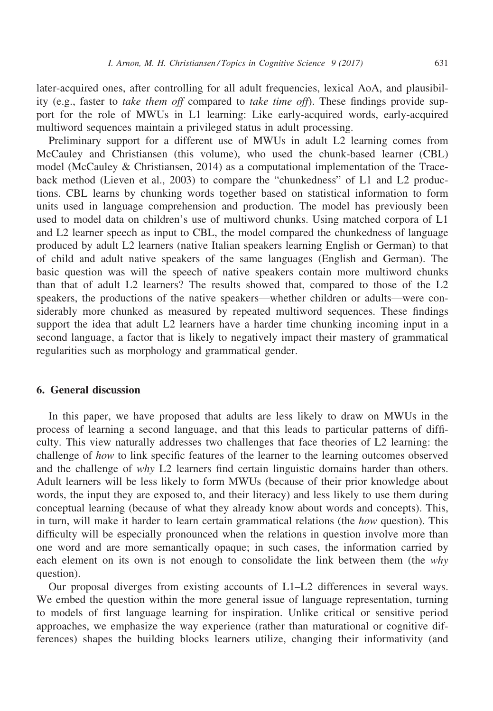later-acquired ones, after controlling for all adult frequencies, lexical AoA, and plausibility (e.g., faster to take them off compared to take time off). These findings provide support for the role of MWUs in L1 learning: Like early-acquired words, early-acquired multiword sequences maintain a privileged status in adult processing.

Preliminary support for a different use of MWUs in adult L2 learning comes from McCauley and Christiansen (this volume), who used the chunk-based learner (CBL) model (McCauley & Christiansen, 2014) as a computational implementation of the Traceback method (Lieven et al., 2003) to compare the "chunkedness" of L1 and L2 productions. CBL learns by chunking words together based on statistical information to form units used in language comprehension and production. The model has previously been used to model data on children's use of multiword chunks. Using matched corpora of L1 and L2 learner speech as input to CBL, the model compared the chunkedness of language produced by adult L2 learners (native Italian speakers learning English or German) to that of child and adult native speakers of the same languages (English and German). The basic question was will the speech of native speakers contain more multiword chunks than that of adult L2 learners? The results showed that, compared to those of the L2 speakers, the productions of the native speakers—whether children or adults—were considerably more chunked as measured by repeated multiword sequences. These findings support the idea that adult L2 learners have a harder time chunking incoming input in a second language, a factor that is likely to negatively impact their mastery of grammatical regularities such as morphology and grammatical gender.

## 6. General discussion

In this paper, we have proposed that adults are less likely to draw on MWUs in the process of learning a second language, and that this leads to particular patterns of difficulty. This view naturally addresses two challenges that face theories of L2 learning: the challenge of how to link specific features of the learner to the learning outcomes observed and the challenge of why L2 learners find certain linguistic domains harder than others. Adult learners will be less likely to form MWUs (because of their prior knowledge about words, the input they are exposed to, and their literacy) and less likely to use them during conceptual learning (because of what they already know about words and concepts). This, in turn, will make it harder to learn certain grammatical relations (the how question). This difficulty will be especially pronounced when the relations in question involve more than one word and are more semantically opaque; in such cases, the information carried by each element on its own is not enough to consolidate the link between them (the why question).

Our proposal diverges from existing accounts of L1–L2 differences in several ways. We embed the question within the more general issue of language representation, turning to models of first language learning for inspiration. Unlike critical or sensitive period approaches, we emphasize the way experience (rather than maturational or cognitive differences) shapes the building blocks learners utilize, changing their informativity (and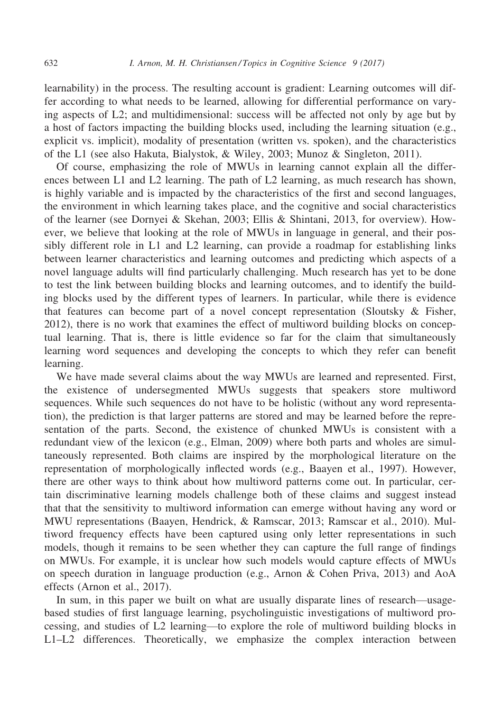learnability) in the process. The resulting account is gradient: Learning outcomes will differ according to what needs to be learned, allowing for differential performance on varying aspects of L2; and multidimensional: success will be affected not only by age but by a host of factors impacting the building blocks used, including the learning situation (e.g., explicit vs. implicit), modality of presentation (written vs. spoken), and the characteristics of the L1 (see also Hakuta, Bialystok, & Wiley, 2003; Munoz & Singleton, 2011).

Of course, emphasizing the role of MWUs in learning cannot explain all the differences between L1 and L2 learning. The path of L2 learning, as much research has shown, is highly variable and is impacted by the characteristics of the first and second languages, the environment in which learning takes place, and the cognitive and social characteristics of the learner (see Dornyei & Skehan, 2003; Ellis & Shintani, 2013, for overview). However, we believe that looking at the role of MWUs in language in general, and their possibly different role in L1 and L2 learning, can provide a roadmap for establishing links between learner characteristics and learning outcomes and predicting which aspects of a novel language adults will find particularly challenging. Much research has yet to be done to test the link between building blocks and learning outcomes, and to identify the building blocks used by the different types of learners. In particular, while there is evidence that features can become part of a novel concept representation (Sloutsky & Fisher, 2012), there is no work that examines the effect of multiword building blocks on conceptual learning. That is, there is little evidence so far for the claim that simultaneously learning word sequences and developing the concepts to which they refer can benefit learning.

We have made several claims about the way MWUs are learned and represented. First, the existence of undersegmented MWUs suggests that speakers store multiword sequences. While such sequences do not have to be holistic (without any word representation), the prediction is that larger patterns are stored and may be learned before the representation of the parts. Second, the existence of chunked MWUs is consistent with a redundant view of the lexicon (e.g., Elman, 2009) where both parts and wholes are simultaneously represented. Both claims are inspired by the morphological literature on the representation of morphologically inflected words (e.g., Baayen et al., 1997). However, there are other ways to think about how multiword patterns come out. In particular, certain discriminative learning models challenge both of these claims and suggest instead that that the sensitivity to multiword information can emerge without having any word or MWU representations (Baayen, Hendrick, & Ramscar, 2013; Ramscar et al., 2010). Multiword frequency effects have been captured using only letter representations in such models, though it remains to be seen whether they can capture the full range of findings on MWUs. For example, it is unclear how such models would capture effects of MWUs on speech duration in language production (e.g., Arnon & Cohen Priva, 2013) and AoA effects (Arnon et al., 2017).

In sum, in this paper we built on what are usually disparate lines of research—usagebased studies of first language learning, psycholinguistic investigations of multiword processing, and studies of L2 learning—to explore the role of multiword building blocks in L1–L2 differences. Theoretically, we emphasize the complex interaction between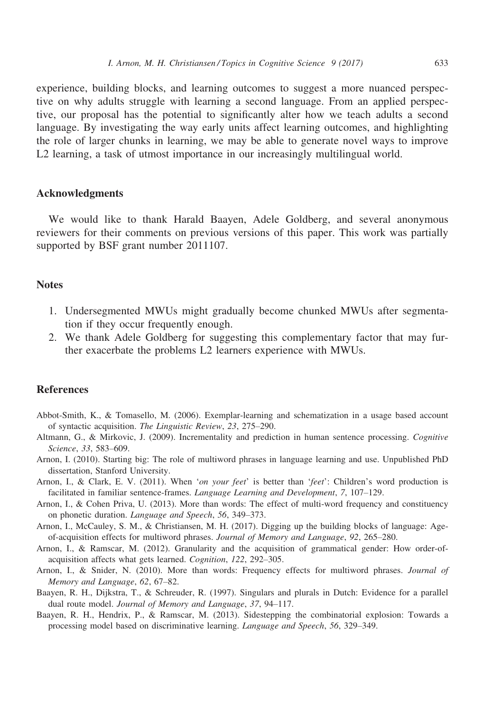experience, building blocks, and learning outcomes to suggest a more nuanced perspective on why adults struggle with learning a second language. From an applied perspective, our proposal has the potential to significantly alter how we teach adults a second language. By investigating the way early units affect learning outcomes, and highlighting the role of larger chunks in learning, we may be able to generate novel ways to improve L2 learning, a task of utmost importance in our increasingly multilingual world.

## Acknowledgments

We would like to thank Harald Baayen, Adele Goldberg, and several anonymous reviewers for their comments on previous versions of this paper. This work was partially supported by BSF grant number 2011107.

## **Notes**

- 1. Undersegmented MWUs might gradually become chunked MWUs after segmentation if they occur frequently enough.
- 2. We thank Adele Goldberg for suggesting this complementary factor that may further exacerbate the problems L2 learners experience with MWUs.

## References

- Abbot-Smith, K., & Tomasello, M. (2006). Exemplar-learning and schematization in a usage based account of syntactic acquisition. The Linguistic Review, 23, 275–290.
- Altmann, G., & Mirkovic, J. (2009). Incrementality and prediction in human sentence processing. Cognitive Science, 33, 583–609.
- Arnon, I. (2010). Starting big: The role of multiword phrases in language learning and use. Unpublished PhD dissertation, Stanford University.
- Arnon, I., & Clark, E. V. (2011). When 'on your feet' is better than 'feet': Children's word production is facilitated in familiar sentence-frames. Language Learning and Development, 7, 107–129.
- Arnon, I., & Cohen Priva, U. (2013). More than words: The effect of multi-word frequency and constituency on phonetic duration. Language and Speech, 56, 349–373.
- Arnon, I., McCauley, S. M., & Christiansen, M. H. (2017). Digging up the building blocks of language: Ageof-acquisition effects for multiword phrases. Journal of Memory and Language, 92, 265–280.
- Arnon, I., & Ramscar, M. (2012). Granularity and the acquisition of grammatical gender: How order-ofacquisition affects what gets learned. Cognition, 122, 292–305.
- Arnon, I., & Snider, N. (2010). More than words: Frequency effects for multiword phrases. Journal of Memory and Language, 62, 67–82.
- Baayen, R. H., Dijkstra, T., & Schreuder, R. (1997). Singulars and plurals in Dutch: Evidence for a parallel dual route model. Journal of Memory and Language, 37, 94–117.
- Baayen, R. H., Hendrix, P., & Ramscar, M. (2013). Sidestepping the combinatorial explosion: Towards a processing model based on discriminative learning. Language and Speech, 56, 329–349.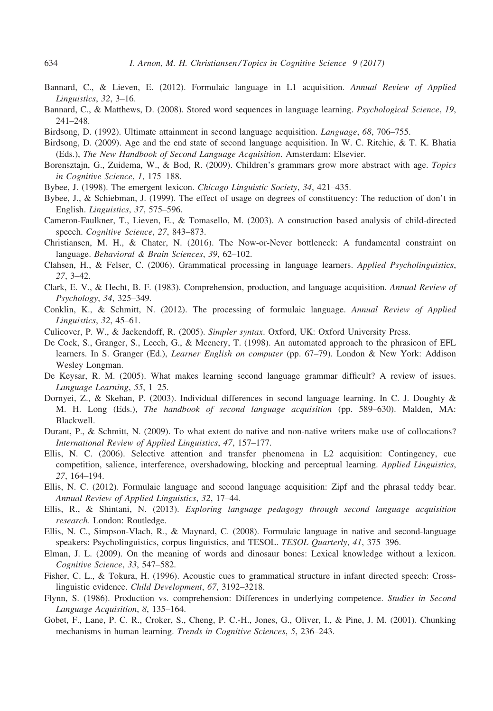- Bannard, C., & Lieven, E. (2012). Formulaic language in L1 acquisition. Annual Review of Applied Linguistics, 32, 3–16.
- Bannard, C., & Matthews, D. (2008). Stored word sequences in language learning. Psychological Science, 19, 241–248.
- Birdsong, D. (1992). Ultimate attainment in second language acquisition. Language, 68, 706–755.
- Birdsong, D. (2009). Age and the end state of second language acquisition. In W. C. Ritchie, & T. K. Bhatia (Eds.), The New Handbook of Second Language Acquisition. Amsterdam: Elsevier.
- Borensztajn, G., Zuidema, W., & Bod, R. (2009). Children's grammars grow more abstract with age. Topics in Cognitive Science, 1, 175–188.
- Bybee, J. (1998). The emergent lexicon. Chicago Linguistic Society, 34, 421–435.
- Bybee, J., & Schiebman, J. (1999). The effect of usage on degrees of constituency: The reduction of don't in English. Linguistics, 37, 575–596.
- Cameron-Faulkner, T., Lieven, E., & Tomasello, M. (2003). A construction based analysis of child-directed speech. Cognitive Science, 27, 843–873.
- Christiansen, M. H., & Chater, N. (2016). The Now-or-Never bottleneck: A fundamental constraint on language. Behavioral & Brain Sciences, 39, 62–102.
- Clahsen, H., & Felser, C. (2006). Grammatical processing in language learners. Applied Psycholinguistics, 27, 3–42.
- Clark, E. V., & Hecht, B. F. (1983). Comprehension, production, and language acquisition. Annual Review of Psychology, 34, 325–349.
- Conklin, K., & Schmitt, N. (2012). The processing of formulaic language. Annual Review of Applied Linguistics, 32, 45–61.
- Culicover, P. W., & Jackendoff, R. (2005). Simpler syntax. Oxford, UK: Oxford University Press.
- De Cock, S., Granger, S., Leech, G., & Mcenery, T. (1998). An automated approach to the phrasicon of EFL learners. In S. Granger (Ed.), Learner English on computer (pp. 67-79). London & New York: Addison Wesley Longman.
- De Keysar, R. M. (2005). What makes learning second language grammar difficult? A review of issues. Language Learning, 55, 1–25.
- Dornyei, Z., & Skehan, P. (2003). Individual differences in second language learning. In C. J. Doughty & M. H. Long (Eds.), The handbook of second language acquisition (pp. 589–630). Malden, MA: Blackwell.
- Durant, P., & Schmitt, N. (2009). To what extent do native and non-native writers make use of collocations? International Review of Applied Linguistics, 47, 157–177.
- Ellis, N. C. (2006). Selective attention and transfer phenomena in L2 acquisition: Contingency, cue competition, salience, interference, overshadowing, blocking and perceptual learning. Applied Linguistics, 27, 164–194.
- Ellis, N. C. (2012). Formulaic language and second language acquisition: Zipf and the phrasal teddy bear. Annual Review of Applied Linguistics, 32, 17–44.
- Ellis, R., & Shintani, N. (2013). Exploring language pedagogy through second language acquisition research. London: Routledge.
- Ellis, N. C., Simpson-Vlach, R., & Maynard, C. (2008). Formulaic language in native and second-language speakers: Psycholinguistics, corpus linguistics, and TESOL. TESOL Quarterly, 41, 375–396.
- Elman, J. L. (2009). On the meaning of words and dinosaur bones: Lexical knowledge without a lexicon. Cognitive Science, 33, 547–582.
- Fisher, C. L., & Tokura, H. (1996). Acoustic cues to grammatical structure in infant directed speech: Crosslinguistic evidence. Child Development, 67, 3192–3218.
- Flynn, S. (1986). Production vs. comprehension: Differences in underlying competence. Studies in Second Language Acquisition, 8, 135–164.
- Gobet, F., Lane, P. C. R., Croker, S., Cheng, P. C.-H., Jones, G., Oliver, I., & Pine, J. M. (2001). Chunking mechanisms in human learning. Trends in Cognitive Sciences, 5, 236–243.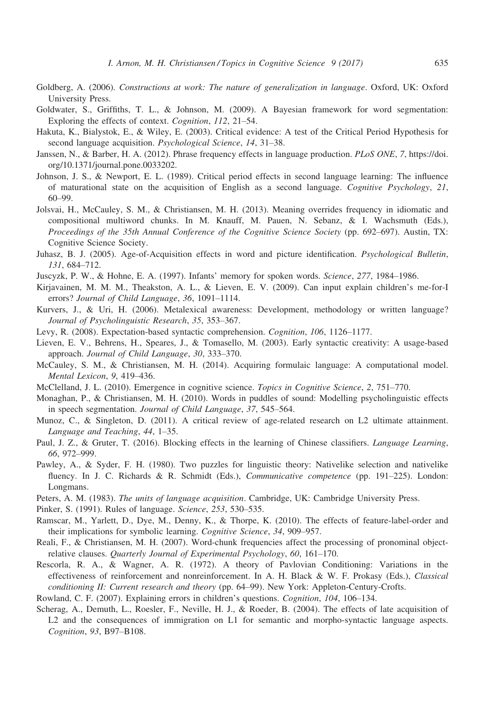- Goldberg, A. (2006). Constructions at work: The nature of generalization in language. Oxford, UK: Oxford University Press.
- Goldwater, S., Griffiths, T. L., & Johnson, M. (2009). A Bayesian framework for word segmentation: Exploring the effects of context. Cognition, 112, 21–54.
- Hakuta, K., Bialystok, E., & Wiley, E. (2003). Critical evidence: A test of the Critical Period Hypothesis for second language acquisition. Psychological Science, 14, 31-38.
- Janssen, N., & Barber, H. A. (2012). Phrase frequency effects in language production. PLoS ONE, 7, [https://doi.](https://doi.org/10.1371/journal.pone.0033202) [org/10.1371/journal.pone.0033202](https://doi.org/10.1371/journal.pone.0033202).
- Johnson, J. S., & Newport, E. L. (1989). Critical period effects in second language learning: The influence of maturational state on the acquisition of English as a second language. Cognitive Psychology, 21, 60–99.
- Jolsvai, H., McCauley, S. M., & Christiansen, M. H. (2013). Meaning overrides frequency in idiomatic and compositional multiword chunks. In M. Knauff, M. Pauen, N. Sebanz, & I. Wachsmuth (Eds.), Proceedings of the 35th Annual Conference of the Cognitive Science Society (pp. 692–697). Austin, TX: Cognitive Science Society.
- Juhasz, B. J. (2005). Age-of-Acquisition effects in word and picture identification. Psychological Bulletin, 131, 684–712.
- Juscyzk, P. W., & Hohne, E. A. (1997). Infants' memory for spoken words. Science, 277, 1984–1986.
- Kirjavainen, M. M. M., Theakston, A. L., & Lieven, E. V. (2009). Can input explain children's me-for-I errors? Journal of Child Language, 36, 1091–1114.
- Kurvers, J., & Uri, H. (2006). Metalexical awareness: Development, methodology or written language? Journal of Psycholinguistic Research, 35, 353–367.
- Levy, R. (2008). Expectation-based syntactic comprehension. Cognition, 106, 1126–1177.
- Lieven, E. V., Behrens, H., Speares, J., & Tomasello, M. (2003). Early syntactic creativity: A usage-based approach. Journal of Child Language, 30, 333–370.
- McCauley, S. M., & Christiansen, M. H. (2014). Acquiring formulaic language: A computational model. Mental Lexicon, 9, 419–436.
- McClelland, J. L. (2010). Emergence in cognitive science. Topics in Cognitive Science, 2, 751–770.
- Monaghan, P., & Christiansen, M. H. (2010). Words in puddles of sound: Modelling psycholinguistic effects in speech segmentation. Journal of Child Language, 37, 545–564.
- Munoz, C., & Singleton, D. (2011). A critical review of age-related research on L2 ultimate attainment. Language and Teaching, 44, 1–35.
- Paul, J. Z., & Gruter, T. (2016). Blocking effects in the learning of Chinese classifiers. Language Learning, 66, 972–999.
- Pawley, A., & Syder, F. H. (1980). Two puzzles for linguistic theory: Nativelike selection and nativelike fluency. In J. C. Richards & R. Schmidt (Eds.), Communicative competence (pp. 191–225). London: Longmans.
- Peters, A. M. (1983). The units of language acquisition. Cambridge, UK: Cambridge University Press.
- Pinker, S. (1991). Rules of language. Science, 253, 530–535.
- Ramscar, M., Yarlett, D., Dye, M., Denny, K., & Thorpe, K. (2010). The effects of feature-label-order and their implications for symbolic learning. Cognitive Science, 34, 909–957.
- Reali, F., & Christiansen, M. H. (2007). Word-chunk frequencies affect the processing of pronominal objectrelative clauses. Quarterly Journal of Experimental Psychology, 60, 161–170.
- Rescorla, R. A., & Wagner, A. R. (1972). A theory of Pavlovian Conditioning: Variations in the effectiveness of reinforcement and nonreinforcement. In A. H. Black & W. F. Prokasy (Eds.), Classical conditioning II: Current research and theory (pp. 64–99). New York: Appleton-Century-Crofts.
- Rowland, C. F. (2007). Explaining errors in children's questions. Cognition, 104, 106–134.
- Scherag, A., Demuth, L., Roesler, F., Neville, H. J., & Roeder, B. (2004). The effects of late acquisition of L2 and the consequences of immigration on L1 for semantic and morpho-syntactic language aspects. Cognition, 93, B97–B108.